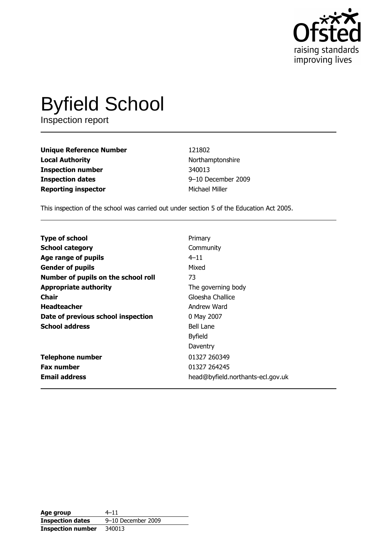

# **Byfield School**

Inspection report

**Unique Reference Number Local Authority Inspection number Inspection dates Reporting inspector** 

121802 Northamptonshire 340013 9-10 December 2009 Michael Miller

This inspection of the school was carried out under section 5 of the Education Act 2005.

| <b>Type of school</b>               | Primary                           |
|-------------------------------------|-----------------------------------|
| <b>School category</b>              | Community                         |
| Age range of pupils                 | $4 - 11$                          |
| <b>Gender of pupils</b>             | Mixed                             |
| Number of pupils on the school roll | 73                                |
| <b>Appropriate authority</b>        | The governing body                |
| <b>Chair</b>                        | Gloesha Challice                  |
| <b>Headteacher</b>                  | Andrew Ward                       |
| Date of previous school inspection  | 0 May 2007                        |
| <b>School address</b>               | Bell Lane                         |
|                                     | <b>Byfield</b>                    |
|                                     | Daventry                          |
| <b>Telephone number</b>             | 01327 260349                      |
| <b>Fax number</b>                   | 01327 264245                      |
| <b>Email address</b>                | head@byfield.northants-ecl.gov.uk |

| Age group                | $4 - 11$           |
|--------------------------|--------------------|
| <b>Inspection dates</b>  | 9-10 December 2009 |
| <b>Inspection number</b> | 340013             |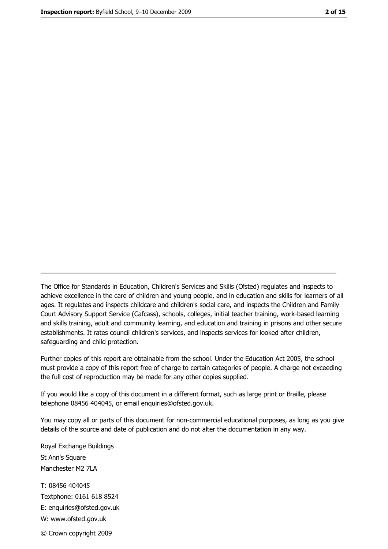The Office for Standards in Education, Children's Services and Skills (Ofsted) regulates and inspects to achieve excellence in the care of children and young people, and in education and skills for learners of all ages. It regulates and inspects childcare and children's social care, and inspects the Children and Family Court Advisory Support Service (Cafcass), schools, colleges, initial teacher training, work-based learning and skills training, adult and community learning, and education and training in prisons and other secure establishments. It rates council children's services, and inspects services for looked after children, safequarding and child protection.

Further copies of this report are obtainable from the school. Under the Education Act 2005, the school must provide a copy of this report free of charge to certain categories of people. A charge not exceeding the full cost of reproduction may be made for any other copies supplied.

If you would like a copy of this document in a different format, such as large print or Braille, please telephone 08456 404045, or email enquiries@ofsted.gov.uk.

You may copy all or parts of this document for non-commercial educational purposes, as long as you give details of the source and date of publication and do not alter the documentation in any way.

Royal Exchange Buildings St Ann's Square Manchester M2 7LA T: 08456 404045 Textphone: 0161 618 8524 E: enquiries@ofsted.gov.uk W: www.ofsted.gov.uk © Crown copyright 2009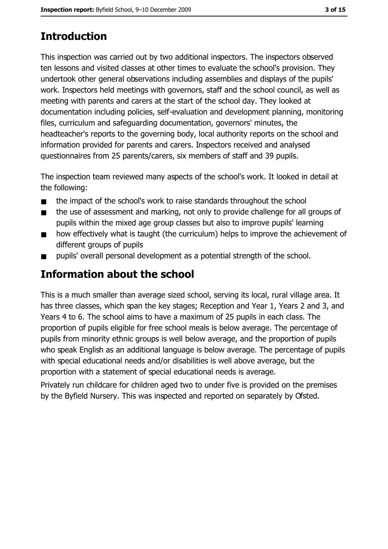# **Introduction**

This inspection was carried out by two additional inspectors. The inspectors observed ten lessons and visited classes at other times to evaluate the school's provision. They undertook other general observations including assemblies and displays of the pupils' work. Inspectors held meetings with governors, staff and the school council, as well as meeting with parents and carers at the start of the school day. They looked at documentation including policies, self-evaluation and development planning, monitoring files, curriculum and safeguarding documentation, governors' minutes, the headteacher's reports to the governing body, local authority reports on the school and information provided for parents and carers. Inspectors received and analysed questionnaires from 25 parents/carers, six members of staff and 39 pupils.

The inspection team reviewed many aspects of the school's work. It looked in detail at the following:

- the impact of the school's work to raise standards throughout the school  $\blacksquare$
- the use of assessment and marking, not only to provide challenge for all groups of  $\blacksquare$ pupils within the mixed age group classes but also to improve pupils' learning
- how effectively what is taught (the curriculum) helps to improve the achievement of  $\blacksquare$ different groups of pupils
- pupils' overall personal development as a potential strength of the school.  $\blacksquare$

# Information about the school

This is a much smaller than average sized school, serving its local, rural village area. It has three classes, which span the key stages; Reception and Year 1, Years 2 and 3, and Years 4 to 6. The school aims to have a maximum of 25 pupils in each class. The proportion of pupils eligible for free school meals is below average. The percentage of pupils from minority ethnic groups is well below average, and the proportion of pupils who speak English as an additional language is below average. The percentage of pupils with special educational needs and/or disabilities is well above average, but the proportion with a statement of special educational needs is average.

Privately run childcare for children aged two to under five is provided on the premises by the Byfield Nursery. This was inspected and reported on separately by Ofsted.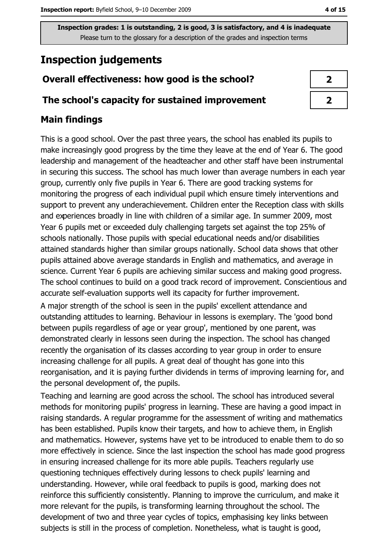# **Inspection judgements**

## Overall effectiveness: how good is the school?

#### The school's capacity for sustained improvement

## **Main findings**

This is a good school. Over the past three years, the school has enabled its pupils to make increasingly good progress by the time they leave at the end of Year 6. The good leadership and management of the headteacher and other staff have been instrumental in securing this success. The school has much lower than average numbers in each year group, currently only five pupils in Year 6. There are good tracking systems for monitoring the progress of each individual pupil which ensure timely interventions and support to prevent any underachievement. Children enter the Reception class with skills and experiences broadly in line with children of a similar age. In summer 2009, most Year 6 pupils met or exceeded duly challenging targets set against the top 25% of schools nationally. Those pupils with special educational needs and/or disabilities attained standards higher than similar groups nationally. School data shows that other pupils attained above average standards in English and mathematics, and average in science. Current Year 6 pupils are achieving similar success and making good progress. The school continues to build on a good track record of improvement. Conscientious and accurate self-evaluation supports well its capacity for further improvement.

A major strength of the school is seen in the pupils' excellent attendance and outstanding attitudes to learning. Behaviour in lessons is exemplary. The 'good bond between pupils regardless of age or year group', mentioned by one parent, was demonstrated clearly in lessons seen during the inspection. The school has changed recently the organisation of its classes according to year group in order to ensure increasing challenge for all pupils. A great deal of thought has gone into this reorganisation, and it is paying further dividends in terms of improving learning for, and the personal development of, the pupils.

Teaching and learning are good across the school. The school has introduced several methods for monitoring pupils' progress in learning. These are having a good impact in raising standards. A regular programme for the assessment of writing and mathematics has been established. Pupils know their targets, and how to achieve them, in English and mathematics. However, systems have yet to be introduced to enable them to do so more effectively in science. Since the last inspection the school has made good progress in ensuring increased challenge for its more able pupils. Teachers regularly use questioning techniques effectively during lessons to check pupils' learning and understanding. However, while oral feedback to pupils is good, marking does not reinforce this sufficiently consistently. Planning to improve the curriculum, and make it more relevant for the pupils, is transforming learning throughout the school. The development of two and three year cycles of topics, emphasising key links between subjects is still in the process of completion. Nonetheless, what is taught is good,

| 7 |  |
|---|--|
| フ |  |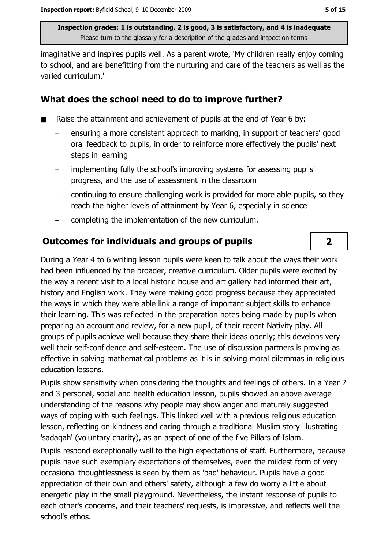imaginative and inspires pupils well. As a parent wrote, 'My children really enjoy coming to school, and are benefitting from the nurturing and care of the teachers as well as the varied curriculum.'

## What does the school need to do to improve further?

- Raise the attainment and achievement of pupils at the end of Year 6 by:
	- ensuring a more consistent approach to marking, in support of teachers' good oral feedback to pupils, in order to reinforce more effectively the pupils' next steps in learning
	- implementing fully the school's improving systems for assessing pupils' progress, and the use of assessment in the classroom
	- continuing to ensure challenging work is provided for more able pupils, so they reach the higher levels of attainment by Year 6, especially in science
	- completing the implementation of the new curriculum.

## **Outcomes for individuals and groups of pupils**

During a Year 4 to 6 writing lesson pupils were keen to talk about the ways their work had been influenced by the broader, creative curriculum. Older pupils were excited by the way a recent visit to a local historic house and art gallery had informed their art, history and English work. They were making good progress because they appreciated the ways in which they were able link a range of important subject skills to enhance their learning. This was reflected in the preparation notes being made by pupils when preparing an account and review, for a new pupil, of their recent Nativity play. All groups of pupils achieve well because they share their ideas openly; this develops very well their self-confidence and self-esteem. The use of discussion partners is proving as effective in solving mathematical problems as it is in solving moral dilemmas in religious education lessons.

Pupils show sensitivity when considering the thoughts and feelings of others. In a Year 2 and 3 personal, social and health education lesson, pupils showed an above average understanding of the reasons why people may show anger and maturely suggested ways of coping with such feelings. This linked well with a previous religious education lesson, reflecting on kindness and caring through a traditional Muslim story illustrating 'sadagah' (voluntary charity), as an aspect of one of the five Pillars of Islam.

Pupils respond exceptionally well to the high expectations of staff. Furthermore, because pupils have such exemplary expectations of themselves, even the mildest form of very occasional thoughtlessness is seen by them as 'bad' behaviour. Pupils have a good appreciation of their own and others' safety, although a few do worry a little about energetic play in the small playground. Nevertheless, the instant response of pupils to each other's concerns, and their teachers' requests, is impressive, and reflects well the school's ethos.

 $\overline{2}$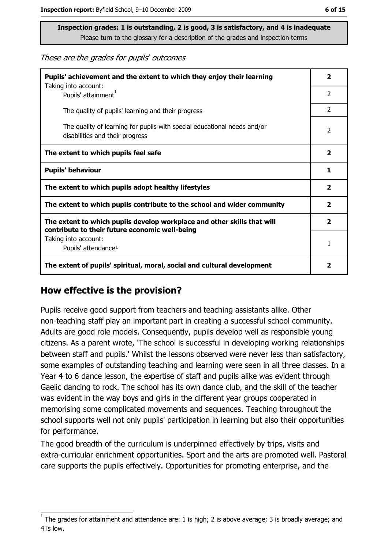These are the grades for pupils' outcomes

| Pupils' achievement and the extent to which they enjoy their learning<br>Taking into account:                             | $\overline{\mathbf{2}}$ |
|---------------------------------------------------------------------------------------------------------------------------|-------------------------|
| Pupils' attainment <sup>1</sup>                                                                                           | $\mathcal{P}$           |
| The quality of pupils' learning and their progress                                                                        | $\overline{2}$          |
| The quality of learning for pupils with special educational needs and/or<br>disabilities and their progress               | $\overline{2}$          |
| The extent to which pupils feel safe                                                                                      | $\overline{\mathbf{2}}$ |
| <b>Pupils' behaviour</b>                                                                                                  |                         |
| The extent to which pupils adopt healthy lifestyles                                                                       | $\overline{\mathbf{2}}$ |
| The extent to which pupils contribute to the school and wider community                                                   |                         |
| The extent to which pupils develop workplace and other skills that will<br>contribute to their future economic well-being |                         |
| Taking into account:<br>Pupils' attendance <sup>1</sup>                                                                   |                         |
| The extent of pupils' spiritual, moral, social and cultural development                                                   |                         |

#### How effective is the provision?

Pupils receive good support from teachers and teaching assistants alike. Other non-teaching staff play an important part in creating a successful school community. Adults are good role models. Consequently, pupils develop well as responsible young citizens. As a parent wrote, 'The school is successful in developing working relationships between staff and pupils.' Whilst the lessons observed were never less than satisfactory, some examples of outstanding teaching and learning were seen in all three classes. In a Year 4 to 6 dance lesson, the expertise of staff and pupils alike was evident through Gaelic dancing to rock. The school has its own dance club, and the skill of the teacher was evident in the way boys and girls in the different year groups cooperated in memorising some complicated movements and sequences. Teaching throughout the school supports well not only pupils' participation in learning but also their opportunities for performance.

The good breadth of the curriculum is underpinned effectively by trips, visits and extra-curricular enrichment opportunities. Sport and the arts are promoted well. Pastoral care supports the pupils effectively. Opportunities for promoting enterprise, and the

The grades for attainment and attendance are: 1 is high; 2 is above average; 3 is broadly average; and 4 is low.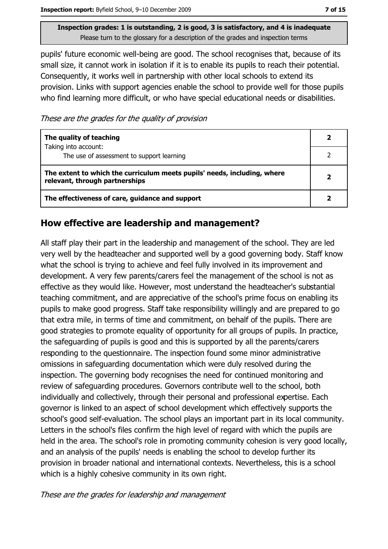pupils' future economic well-being are good. The school recognises that, because of its small size, it cannot work in isolation if it is to enable its pupils to reach their potential. Consequently, it works well in partnership with other local schools to extend its provision. Links with support agencies enable the school to provide well for those pupils who find learning more difficult, or who have special educational needs or disabilities.

These are the grades for the quality of provision

| The quality of teaching                                                                                    |  |
|------------------------------------------------------------------------------------------------------------|--|
| Taking into account:<br>The use of assessment to support learning                                          |  |
| The extent to which the curriculum meets pupils' needs, including, where<br>relevant, through partnerships |  |
| The effectiveness of care, guidance and support                                                            |  |

#### How effective are leadership and management?

All staff play their part in the leadership and management of the school. They are led very well by the headteacher and supported well by a good governing body. Staff know what the school is trying to achieve and feel fully involved in its improvement and development. A very few parents/carers feel the management of the school is not as effective as they would like. However, most understand the headteacher's substantial teaching commitment, and are appreciative of the school's prime focus on enabling its pupils to make good progress. Staff take responsibility willingly and are prepared to go that extra mile, in terms of time and commitment, on behalf of the pupils. There are good strategies to promote equality of opportunity for all groups of pupils. In practice, the safeguarding of pupils is good and this is supported by all the parents/carers responding to the questionnaire. The inspection found some minor administrative omissions in safeguarding documentation which were duly resolved during the inspection. The governing body recognises the need for continued monitoring and review of safeguarding procedures. Governors contribute well to the school, both individually and collectively, through their personal and professional expertise. Each governor is linked to an aspect of school development which effectively supports the school's good self-evaluation. The school plays an important part in its local community. Letters in the school's files confirm the high level of regard with which the pupils are held in the area. The school's role in promoting community cohesion is very good locally, and an analysis of the pupils' needs is enabling the school to develop further its provision in broader national and international contexts. Nevertheless, this is a school which is a highly cohesive community in its own right.

These are the grades for leadership and management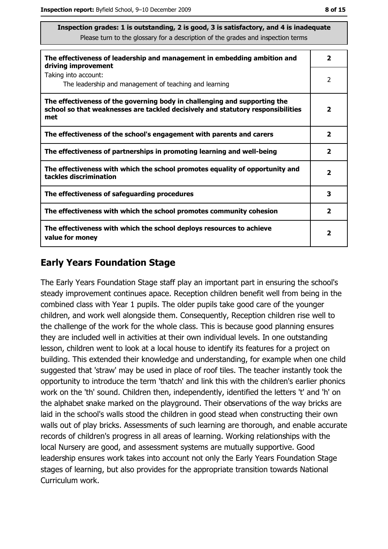| The effectiveness of leadership and management in embedding ambition and<br>driving improvement                                                                     |                         |
|---------------------------------------------------------------------------------------------------------------------------------------------------------------------|-------------------------|
| Taking into account:<br>The leadership and management of teaching and learning                                                                                      | 2                       |
| The effectiveness of the governing body in challenging and supporting the<br>school so that weaknesses are tackled decisively and statutory responsibilities<br>met | $\overline{\mathbf{2}}$ |
| The effectiveness of the school's engagement with parents and carers                                                                                                | 2                       |
| The effectiveness of partnerships in promoting learning and well-being                                                                                              | $\mathbf{2}$            |
| The effectiveness with which the school promotes equality of opportunity and<br>tackles discrimination                                                              | $\overline{\mathbf{2}}$ |
| The effectiveness of safeguarding procedures                                                                                                                        | 3                       |
| The effectiveness with which the school promotes community cohesion                                                                                                 | $\overline{\mathbf{2}}$ |
| The effectiveness with which the school deploys resources to achieve<br>value for money                                                                             | $\mathbf{2}$            |

#### **Early Years Foundation Stage**

The Early Years Foundation Stage staff play an important part in ensuring the school's steady improvement continues apace. Reception children benefit well from being in the combined class with Year 1 pupils. The older pupils take good care of the younger children, and work well alongside them. Consequently, Reception children rise well to the challenge of the work for the whole class. This is because good planning ensures they are included well in activities at their own individual levels. In one outstanding lesson, children went to look at a local house to identify its features for a project on building. This extended their knowledge and understanding, for example when one child suggested that 'straw' may be used in place of roof tiles. The teacher instantly took the opportunity to introduce the term 'thatch' and link this with the children's earlier phonics work on the 'th' sound. Children then, independently, identified the letters 't' and 'h' on the alphabet snake marked on the playground. Their observations of the way bricks are laid in the school's walls stood the children in good stead when constructing their own walls out of play bricks. Assessments of such learning are thorough, and enable accurate records of children's progress in all areas of learning. Working relationships with the local Nursery are good, and assessment systems are mutually supportive. Good leadership ensures work takes into account not only the Early Years Foundation Stage stages of learning, but also provides for the appropriate transition towards National Curriculum work.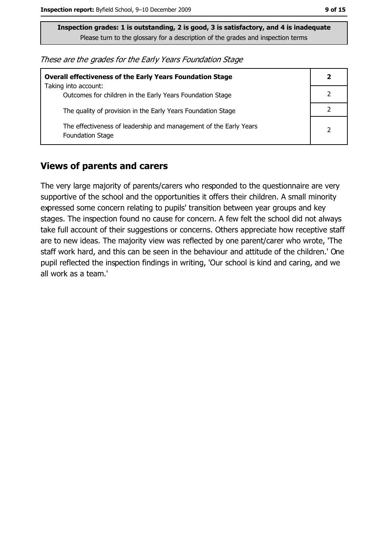These are the grades for the Early Years Foundation Stage

| <b>Overall effectiveness of the Early Years Foundation Stage</b>                             |   |
|----------------------------------------------------------------------------------------------|---|
| Taking into account:<br>Outcomes for children in the Early Years Foundation Stage            |   |
| The quality of provision in the Early Years Foundation Stage                                 |   |
| The effectiveness of leadership and management of the Early Years<br><b>Foundation Stage</b> | 2 |

#### **Views of parents and carers**

The very large majority of parents/carers who responded to the questionnaire are very supportive of the school and the opportunities it offers their children. A small minority expressed some concern relating to pupils' transition between year groups and key stages. The inspection found no cause for concern. A few felt the school did not always take full account of their suggestions or concerns. Others appreciate how receptive staff are to new ideas. The majority view was reflected by one parent/carer who wrote, 'The staff work hard, and this can be seen in the behaviour and attitude of the children.' One pupil reflected the inspection findings in writing, 'Our school is kind and caring, and we all work as a team.'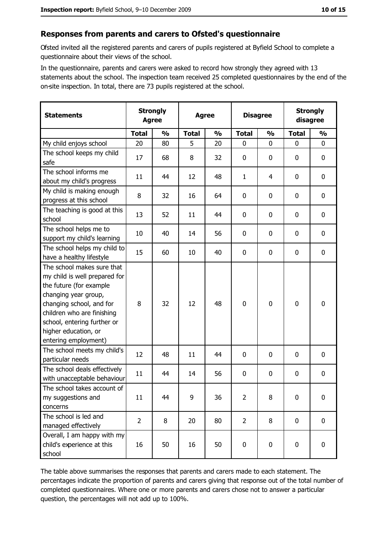#### Responses from parents and carers to Ofsted's questionnaire

Ofsted invited all the registered parents and carers of pupils registered at Byfield School to complete a questionnaire about their views of the school.

In the questionnaire, parents and carers were asked to record how strongly they agreed with 13 statements about the school. The inspection team received 25 completed questionnaires by the end of the on-site inspection. In total, there are 73 pupils registered at the school.

| <b>Statements</b>                                                                                                                                                                                                                                       | <b>Strongly</b><br><b>Agree</b> |               | <b>Agree</b> |               |                | <b>Disagree</b> |              | <b>Strongly</b><br>disagree |  |
|---------------------------------------------------------------------------------------------------------------------------------------------------------------------------------------------------------------------------------------------------------|---------------------------------|---------------|--------------|---------------|----------------|-----------------|--------------|-----------------------------|--|
|                                                                                                                                                                                                                                                         | <b>Total</b>                    | $\frac{0}{0}$ | <b>Total</b> | $\frac{0}{0}$ | <b>Total</b>   | $\frac{0}{0}$   | <b>Total</b> | $\frac{0}{0}$               |  |
| My child enjoys school                                                                                                                                                                                                                                  | 20                              | 80            | 5            | 20            | $\mathbf 0$    | 0               | 0            | 0                           |  |
| The school keeps my child<br>safe                                                                                                                                                                                                                       | 17                              | 68            | 8            | 32            | $\mathbf 0$    | 0               | 0            | 0                           |  |
| The school informs me<br>about my child's progress                                                                                                                                                                                                      | 11                              | 44            | 12           | 48            | 1              | 4               | $\Omega$     | 0                           |  |
| My child is making enough<br>progress at this school                                                                                                                                                                                                    | 8                               | 32            | 16           | 64            | $\mathbf 0$    | 0               | 0            | $\mathbf 0$                 |  |
| The teaching is good at this<br>school                                                                                                                                                                                                                  | 13                              | 52            | 11           | 44            | 0              | 0               | 0            | $\mathbf 0$                 |  |
| The school helps me to<br>support my child's learning                                                                                                                                                                                                   | 10                              | 40            | 14           | 56            | $\mathbf 0$    | 0               | 0            | 0                           |  |
| The school helps my child to<br>have a healthy lifestyle                                                                                                                                                                                                | 15                              | 60            | 10           | 40            | $\bf{0}$       | 0               | 0            | $\boldsymbol{0}$            |  |
| The school makes sure that<br>my child is well prepared for<br>the future (for example<br>changing year group,<br>changing school, and for<br>children who are finishing<br>school, entering further or<br>higher education, or<br>entering employment) | 8                               | 32            | 12           | 48            | $\mathbf 0$    | 0               | 0            | $\mathbf 0$                 |  |
| The school meets my child's<br>particular needs                                                                                                                                                                                                         | 12                              | 48            | 11           | 44            | $\mathbf 0$    | 0               | 0            | $\mathbf 0$                 |  |
| The school deals effectively<br>with unacceptable behaviour                                                                                                                                                                                             | 11                              | 44            | 14           | 56            | $\mathbf 0$    | 0               | 0            | $\boldsymbol{0}$            |  |
| The school takes account of<br>my suggestions and<br>concerns                                                                                                                                                                                           | 11                              | 44            | 9            | 36            | $\overline{2}$ | 8               | 0            | $\boldsymbol{0}$            |  |
| The school is led and<br>managed effectively                                                                                                                                                                                                            | $\overline{2}$                  | 8             | 20           | 80            | $\overline{2}$ | 8               | $\mathbf 0$  | $\mathbf 0$                 |  |
| Overall, I am happy with my<br>child's experience at this<br>school                                                                                                                                                                                     | 16                              | 50            | 16           | 50            | $\pmb{0}$      | 0               | 0            | 0                           |  |

The table above summarises the responses that parents and carers made to each statement. The percentages indicate the proportion of parents and carers giving that response out of the total number of completed questionnaires. Where one or more parents and carers chose not to answer a particular question, the percentages will not add up to 100%.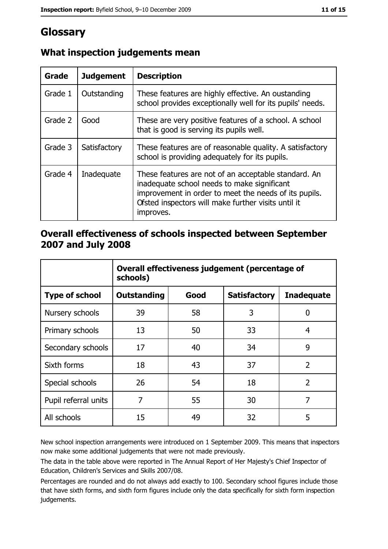# Glossary

| Grade   | <b>Judgement</b> | <b>Description</b>                                                                                                                                                                                                               |
|---------|------------------|----------------------------------------------------------------------------------------------------------------------------------------------------------------------------------------------------------------------------------|
| Grade 1 | Outstanding      | These features are highly effective. An oustanding<br>school provides exceptionally well for its pupils' needs.                                                                                                                  |
| Grade 2 | Good             | These are very positive features of a school. A school<br>that is good is serving its pupils well.                                                                                                                               |
| Grade 3 | Satisfactory     | These features are of reasonable quality. A satisfactory<br>school is providing adequately for its pupils.                                                                                                                       |
| Grade 4 | Inadequate       | These features are not of an acceptable standard. An<br>inadequate school needs to make significant<br>improvement in order to meet the needs of its pupils.<br>Ofsted inspectors will make further visits until it<br>improves. |

## What inspection judgements mean

#### Overall effectiveness of schools inspected between September 2007 and July 2008

|                       | Overall effectiveness judgement (percentage of<br>schools) |      |                     |                   |
|-----------------------|------------------------------------------------------------|------|---------------------|-------------------|
| <b>Type of school</b> | <b>Outstanding</b>                                         | Good | <b>Satisfactory</b> | <b>Inadequate</b> |
| Nursery schools       | 39                                                         | 58   | 3                   | 0                 |
| Primary schools       | 13                                                         | 50   | 33                  | 4                 |
| Secondary schools     | 17                                                         | 40   | 34                  | 9                 |
| Sixth forms           | 18                                                         | 43   | 37                  | $\overline{2}$    |
| Special schools       | 26                                                         | 54   | 18                  | $\overline{2}$    |
| Pupil referral units  | 7                                                          | 55   | 30                  | 7                 |
| All schools           | 15                                                         | 49   | 32                  | 5                 |

New school inspection arrangements were introduced on 1 September 2009. This means that inspectors now make some additional judgements that were not made previously.

The data in the table above were reported in The Annual Report of Her Majesty's Chief Inspector of Education, Children's Services and Skills 2007/08.

Percentages are rounded and do not always add exactly to 100. Secondary school figures include those that have sixth forms, and sixth form figures include only the data specifically for sixth form inspection judgements.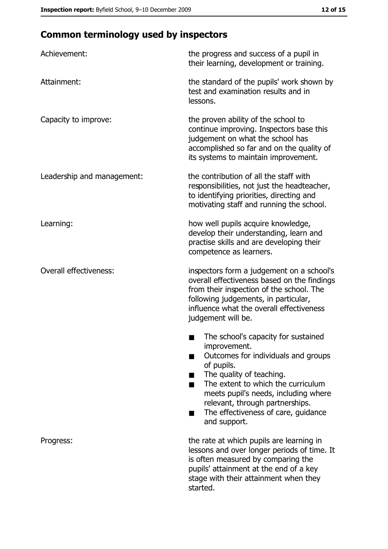# **Common terminology used by inspectors**

| Achievement:                  | the progress and success of a pupil in<br>their learning, development or training.                                                                                                                                                                                                                           |
|-------------------------------|--------------------------------------------------------------------------------------------------------------------------------------------------------------------------------------------------------------------------------------------------------------------------------------------------------------|
| Attainment:                   | the standard of the pupils' work shown by<br>test and examination results and in<br>lessons.                                                                                                                                                                                                                 |
| Capacity to improve:          | the proven ability of the school to<br>continue improving. Inspectors base this<br>judgement on what the school has<br>accomplished so far and on the quality of<br>its systems to maintain improvement.                                                                                                     |
| Leadership and management:    | the contribution of all the staff with<br>responsibilities, not just the headteacher,<br>to identifying priorities, directing and<br>motivating staff and running the school.                                                                                                                                |
| Learning:                     | how well pupils acquire knowledge,<br>develop their understanding, learn and<br>practise skills and are developing their<br>competence as learners.                                                                                                                                                          |
| <b>Overall effectiveness:</b> | inspectors form a judgement on a school's<br>overall effectiveness based on the findings<br>from their inspection of the school. The<br>following judgements, in particular,<br>influence what the overall effectiveness<br>judgement will be.                                                               |
|                               | The school's capacity for sustained<br>improvement.<br>Outcomes for individuals and groups<br>of pupils.<br>The quality of teaching.<br>The extent to which the curriculum<br>meets pupil's needs, including where<br>relevant, through partnerships.<br>The effectiveness of care, guidance<br>and support. |
| Progress:                     | the rate at which pupils are learning in<br>lessons and over longer periods of time. It<br>is often measured by comparing the<br>pupils' attainment at the end of a key<br>stage with their attainment when they<br>started.                                                                                 |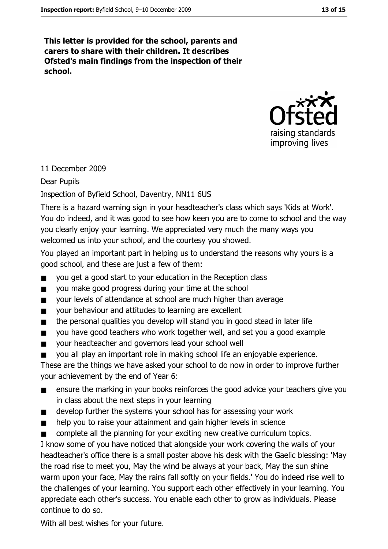This letter is provided for the school, parents and carers to share with their children. It describes Ofsted's main findings from the inspection of their school.



#### 11 December 2009

#### **Dear Pupils**

#### Inspection of Byfield School, Daventry, NN11 6US

There is a hazard warning sign in your headteacher's class which says 'Kids at Work'. You do indeed, and it was good to see how keen you are to come to school and the way you clearly enjoy your learning. We appreciated very much the many ways you welcomed us into your school, and the courtesy you showed.

You played an important part in helping us to understand the reasons why yours is a good school, and these are just a few of them:

- you get a good start to your education in the Reception class  $\blacksquare$
- $\blacksquare$ you make good progress during your time at the school
- your levels of attendance at school are much higher than average  $\blacksquare$
- vour behaviour and attitudes to learning are excellent  $\blacksquare$
- the personal qualities you develop will stand you in good stead in later life  $\blacksquare$
- you have good teachers who work together well, and set you a good example  $\blacksquare$
- your headteacher and governors lead your school well  $\blacksquare$
- vou all play an important role in making school life an eniovable experience.  $\blacksquare$

These are the things we have asked your school to do now in order to improve further your achievement by the end of Year 6:

- ensure the marking in your books reinforces the good advice your teachers give you in class about the next steps in your learning
- develop further the systems your school has for assessing your work  $\blacksquare$
- help you to raise your attainment and gain higher levels in science  $\blacksquare$
- complete all the planning for your exciting new creative curriculum topics.

I know some of you have noticed that alongside your work covering the walls of your headteacher's office there is a small poster above his desk with the Gaelic blessing: 'May the road rise to meet you, May the wind be always at your back, May the sun shine warm upon your face, May the rains fall softly on your fields.' You do indeed rise well to the challenges of your learning. You support each other effectively in your learning. You appreciate each other's success. You enable each other to grow as individuals. Please continue to do so.

With all best wishes for your future.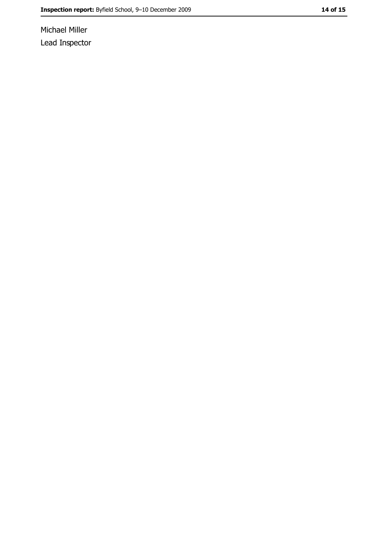Michael Miller Lead Inspector